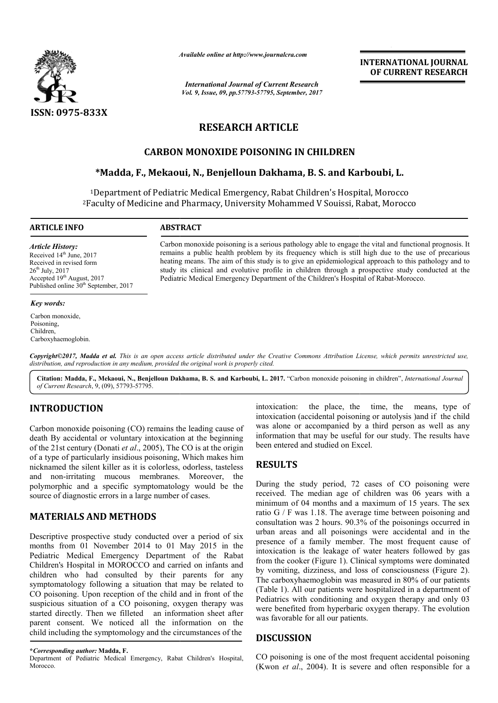

*Available online at http://www.journal http://www.journalcra.com*

*International Journal of Current Research Vol. 9, Issue, 09, pp.57793-57795, September, 2017* **INTERNATIONAL JOURNAL OF CURRENT RESEARCH** 

# **RESEARCH ARTICLE**

## **CARBON MONOXIDE POISONING IN CHILDREN**

## **\*Madda, F., Mekaoui, N., Benjelloun Dakhama, B. S. and Karboubi Karboubi, L.**

1Department of Pediatric Medical Emergency, Rabat Children's Hospital, Morocco <sup>2</sup>Faculty of Medicine and Pharmacy, University Mohammed V Souissi, Rabat, Morocco

**ARTICLE INFO ABSTRACT**

*Article History:* Received 14<sup>th</sup> June, 2017 Received in revised form  $26<sup>th</sup>$  July,  $2017$ Accepted 19<sup>th</sup> August, 2017 Published online 30<sup>th</sup> September, 2017

#### *Key words:*

Carbon monoxide, Poisoning, Children, Carboxyhaemoglobin. Carbon monoxide poisoning is a serious pathology able to engage the vital and functional prognosis. It remains a public health problem by its frequency which is still high due to the use of precarious heating means. The aim of this study is to give an epidemiological approach to this pathology and to study its clinical and evolutive profile in children through a prospective study conducted at the Pediatric Medical Emergency Department of the Children's Hospital of Rabat-Morocco. Carbon monoxide poisoning is a serious pathology able to engage the vital and function remains a public health problem by its frequency which is still high due to the use heating means. The aim of this study is to give an

*Copyright©2017, Madda et al. This is an open access article distributed under the Creative Commons Att Attribution License, which ribution which permits unrestricted use, distribution, and reproduction in any medium, provided the original work is properly cited.*

Citation: Madda, F., Mekaoui, N., Benjelloun Dakhama, B. S. and Karboubi, L. 2017. "Carbon monoxide poisoning in children", *International Journal of Current Research*, 9, (09), 57793-57795.

# **INTRODUCTION**

Carbon monoxide poisoning (CO) remains the leading cause of death By accidental or voluntary intoxication at the beginning of the 21st century (Donati *et al*., 2005), The CO is at the origin of a type of particularly insidious poisoning, Which makes him nicknamed the silent killer as it is colorless, odorless, tasteless and non-irritating mucous membranes. Moreover, the polymorphic and a specific symptomatology would be the source of diagnostic errors in a large number of cases.

# **MATERIALS AND METHODS**

Descriptive prospective study conducted over a period of six months from 01 November 2014 to 01 May 2015 in the Pediatric Medical Emergency Department of the Rabat Children's Hospital in MOROCCO and carried on infants and children who had consulted by their parents for any symptomatology following a situation that may be related to CO poisoning. Upon reception of the child and in front of the suspicious situation of a CO poisoning, oxygen therapy was started directly. Then we filleted an information sheet after parent consent. We noticed all the information on the child including the symptomology and the circumstances of the irritating mucous membranes. Moreover, the<br>ic and a specific symptomatology would be the<br>liagnostic errors in a large number of cases.<br>**IALS AND METHODS**<br>e prospective study conducted over a period of six<br>om 01 November 20 intoxication (accidental poisoning or autolysis )and if the child was alone or accompanied by a third person as well as any information that may be useful for our study. The results have been entered and studied on Excel. Example 1. The place, the time, the means, type of the child of a that our study person as well as any on that may be useful for our study. The results have ed and studied on Excel.<br> **S**<br> **S**<br> **S** are study period, 72 cas

### **RESULTS**

**TON**<br>
intoxication: the place, the time, the place, the remans, type of<br>
intoxication (accidental poisoning or autolysis )and if the child<br>
the orbunatry intoxication at the beginning information that may be useful for o During the study period, 72 cases of CO poisoning were received. The median age of children was 06 years with a minimum of 04 months and a maximum of 15 years. The sex ratio G / F was 1.18. The average time between poisoning and consultation was 2 hours. 90.3% of the poisonings occurred in urban areas and all poisonings were accidental and in the presence of a family member. The most frequent cause of intoxication is the leakage of water heaters followed by gas from the cooker (Figure 1). Clinical symptoms were dominated by vomiting, dizziness, and loss of consciousness (Figure 2). The carboxyhaemoglobin was measured in 80% of our patients (Table 1). All our patients were hospitalized in a department of Pediatrics with conditioning and oxygen therapy and only 03 were benefited from hyperbaric oxygen therapy. The evolution was favorable for all our patient num of 04 months and a maximum of 15 years. The sex  $G / F$  was 1.18. The average time between poisoning and lltation was 2 hours. 90.3% of the poisonings occurred in a reas and all poisonings were accidental and in the nce arboxyhaemoglobin was measured in 80% of our patients e 1). All our patients were hospitalized in a department of trics with conditioning and oxygen therapy and only 03 benefited from hyperbaric oxygen therapy. The evoluti **INTERNATIONAL JOURNAL**<br> **Solution CONTRIGUAL CONTRIGUAL CONTRIGUAL CONTRIGUAL CONTRIGUAL CONTRIGUAL CONTRIGUAL CONTRIGUAL CONTRIGUAL CONTRIGUAL CONTRIGUAL CONTRIGUAL CONTRIGUAL CONTRIGUAL STOCK (SUPPRESS TRADIM TO THE S** 

### **DISCUSSION**

CO poisoning is one of the most frequent accidental poisoning (Kwon *et al*., 2004). It is severe and often responsible for a

**<sup>\*</sup>***Corresponding author:* **Madda, F.** Department of Pediatric Medical Emergency, Rabat Children's Hospital, Morocco.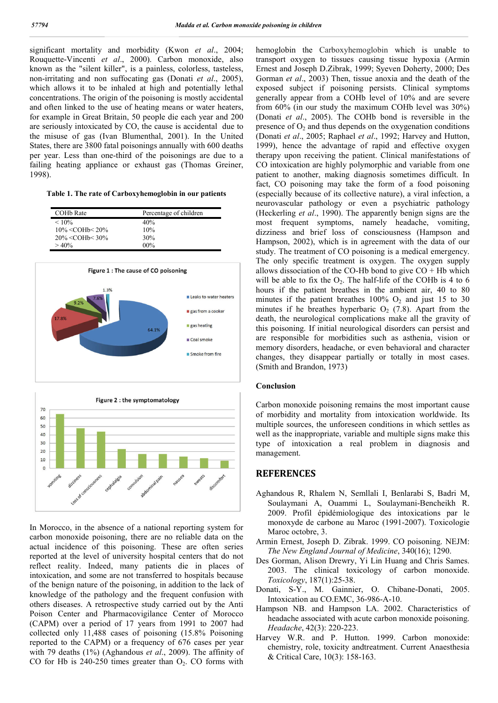significant mortality and morbidity (Kwon *et al*., 2004; Rouquette-Vincenti *et al*., 2000). Carbon monoxide, also known as the "silent killer", is a painless, colorless, tasteless, non-irritating and non suffocating gas (Donati *et al*., 2005), which allows it to be inhaled at high and potentially lethal concentrations. The origin of the poisoning is mostly accidental and often linked to the use of heating means or water heaters, for example in Great Britain, 50 people die each year and 200 are seriously intoxicated by CO, the cause is accidental due to the misuse of gas (Ivan Blumenthal, 2001). In the United States, there are 3800 fatal poisonings annually with 600 deaths per year. Less than one-third of the poisonings are due to a failing heating appliance or exhaust gas (Thomas Greiner, 1998).

**Table 1. The rate of Carboxyhemoglobin in our patients**

| COH <sub>b</sub> Rate | Percentage of children |
|-----------------------|------------------------|
| $< 10\%$              | 40%                    |
| $10\% <$ COHb $<$ 20% | 10%                    |
| $20\% <$ COHb $<$ 30% | 30%                    |
| $>40\%$               | $00\%$                 |





In Morocco, in the absence of a national reporting system for carbon monoxide poisoning, there are no reliable data on the actual incidence of this poisoning. These are often series reported at the level of university hospital centers that do not reflect reality. Indeed, many patients die in places of intoxication, and some are not transferred to hospitals because of the benign nature of the poisoning, in addition to the lack of knowledge of the pathology and the frequent confusion with others diseases. A retrospective study carried out by the Anti Poison Center and Pharmacovigilance Center of Morocco (CAPM) over a period of 17 years from 1991 to 2007 had collected only 11,488 cases of poisoning (15.8% Poisoning reported to the CAPM) or a frequency of 676 cases per year with 79 deaths (1%) (Aghandous *et al*., 2009). The affinity of CO for Hb is  $240-250$  times greater than  $O_2$ . CO forms with

hemoglobin the Carboxyhemoglobin which is unable to transport oxygen to tissues causing tissue hypoxia (Armin Ernest and Joseph D.Zibrak, 1999; Syeven Doherty, 2000; Des Gorman *et al*., 2003) Then, tissue anoxia and the death of the exposed subject if poisoning persists. Clinical symptoms generally appear from a COHb level of 10% and are severe from 60% (in our study the maximum COHb level was 30%) (Donati *et al*., 2005). The COHb bond is reversible in the presence of  $O_2$  and thus depends on the oxygenation conditions (Donati *et al*., 2005; Raphael *et al*., 1992; Harvey and Hutton, 1999), hence the advantage of rapid and effective oxygen therapy upon receiving the patient. Clinical manifestations of CO intoxication are highly polymorphic and variable from one patient to another, making diagnosis sometimes difficult. In fact, CO poisoning may take the form of a food poisoning (especially because of its collective nature), a viral infection, a neurovascular pathology or even a psychiatric pathology (Heckerling *et al*., 1990). The apparently benign signs are the most frequent symptoms, namely headache, vomiting, dizziness and brief loss of consciousness (Hampson and Hampson, 2002), which is in agreement with the data of our study. The treatment of CO poisoning is a medical emergency. The only specific treatment is oxygen. The oxygen supply allows dissociation of the CO-Hb bond to give  $CO + Hb$  which will be able to fix the  $O_2$ . The half-life of the COHb is 4 to 6 hours if the patient breathes in the ambient air, 40 to 80 minutes if the patient breathes  $100\%$  O<sub>2</sub> and just 15 to 30 minutes if he breathes hyperbaric  $O<sub>2</sub>$  (7.8). Apart from the death, the neurological complications make all the gravity of this poisoning. If initial neurological disorders can persist and are responsible for morbidities such as asthenia, vision or memory disorders, headache, or even behavioral and character changes, they disappear partially or totally in most cases. (Smith and Brandon, 1973)

#### **Conclusion**

Carbon monoxide poisoning remains the most important cause of morbidity and mortality from intoxication worldwide. Its multiple sources, the unforeseen conditions in which settles as well as the inappropriate, variable and multiple signs make this type of intoxication a real problem in diagnosis and management.

#### **REFERENCES**

- Aghandous R, Rhalem N, Semllali I, Benlarabi S, Badri M, Soulaymani A, Ouammi L, Soulaymani-Bencheikh R. 2009. Profil épidémiologique des intoxications par le monoxyde de carbone au Maroc (1991-2007). Toxicologie Maroc octobre, 3.
- Armin Ernest, Joseph D. Zibrak. 1999. CO poisoning. NEJM: *The New England Journal of Medicine*, 340(16); 1290.
- Des Gorman, Alison Drewry, Yi Lin Huang and Chris Sames. 2003. The clinical toxicology of carbon monoxide. *Toxicology*, 187(1):25-38.
- Donati, S-Y., M. Gainnier, O. Chibane-Donati, 2005. Intoxication au CO.EMC, 36-986-A-10.
- Hampson NB. and Hampson LA. 2002. Characteristics of headache associated with acute carbon monoxide poisoning. *Headache*, 42(3): 220-223.
- Harvey W.R. and P. Hutton. 1999. Carbon monoxide: chemistry, role, toxicity andtreatment. Current Anaesthesia & Critical Care, 10(3): 158-163.